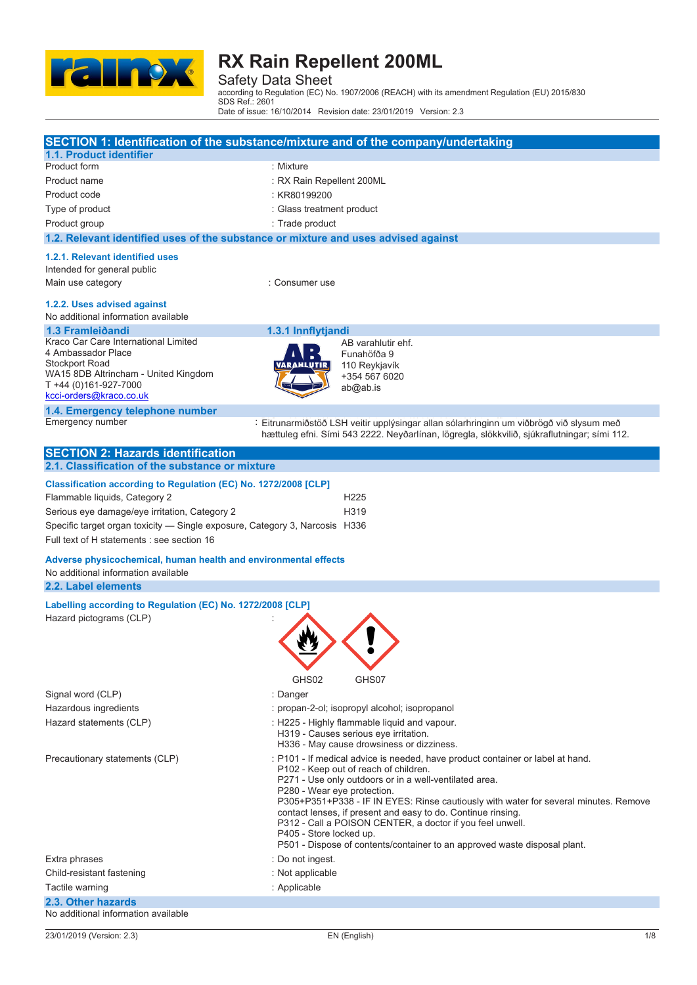

Safety Data Sheet according to Regulation (EC) No. 1907/2006 (REACH) with its amendment Regulation (EU) 2015/830

SDS Ref.: 2601 Date of issue: 16/10/2014 Revision date: 23/01/2019 Version: 2.3

|                                                                                                        | SECTION 1: Identification of the substance/mixture and of the company/undertaking                                                                                                       |
|--------------------------------------------------------------------------------------------------------|-----------------------------------------------------------------------------------------------------------------------------------------------------------------------------------------|
| 1.1. Product identifier                                                                                |                                                                                                                                                                                         |
| Product form                                                                                           | : Mixture                                                                                                                                                                               |
| Product name                                                                                           | : RX Rain Repellent 200ML                                                                                                                                                               |
| Product code                                                                                           | : KR80199200                                                                                                                                                                            |
| Type of product                                                                                        | : Glass treatment product                                                                                                                                                               |
| Product group                                                                                          | : Trade product                                                                                                                                                                         |
| 1.2. Relevant identified uses of the substance or mixture and uses advised against                     |                                                                                                                                                                                         |
| 1.2.1. Relevant identified uses                                                                        |                                                                                                                                                                                         |
| Intended for general public                                                                            |                                                                                                                                                                                         |
| Main use category                                                                                      | : Consumer use                                                                                                                                                                          |
| 1.2.2. Uses advised against<br>No additional information available                                     |                                                                                                                                                                                         |
| 1.3 Framleiðandi                                                                                       | 1.3.1 Innflytjandi                                                                                                                                                                      |
| Kraco Car Care International Limited                                                                   | AB varahlutir ehf.                                                                                                                                                                      |
| 4 Ambassador Place<br><b>Stockport Road</b>                                                            | Funahöfða 9<br>110 Reykjavík                                                                                                                                                            |
| WA15 8DB Altrincham - United Kingdom                                                                   | +354 567 6020                                                                                                                                                                           |
| T +44 (0)161-927-7000                                                                                  | ab@ab.is                                                                                                                                                                                |
| kcci-orders@kraco.co.uk                                                                                |                                                                                                                                                                                         |
| 1.4. Emergency telephone number<br>Emergency number                                                    |                                                                                                                                                                                         |
|                                                                                                        | : Eitrunarmiðstöð LSH veitir upplýsingar allan sólarhringinn um viðbrögð við slysum með<br>hættuleg efni. Sími 543 2222. Neyðarlínan, lögregla, slökkvilið, sjúkraflutningar; sími 112. |
| <b>SECTION 2: Hazards identification</b>                                                               |                                                                                                                                                                                         |
| 2.1. Classification of the substance or mixture                                                        |                                                                                                                                                                                         |
| Classification according to Regulation (EC) No. 1272/2008 [CLP]                                        |                                                                                                                                                                                         |
| Flammable liquids, Category 2                                                                          | H <sub>225</sub>                                                                                                                                                                        |
| Serious eye damage/eye irritation, Category 2                                                          | H319                                                                                                                                                                                    |
| Specific target organ toxicity - Single exposure, Category 3, Narcosis H336                            |                                                                                                                                                                                         |
| Full text of H statements : see section 16                                                             |                                                                                                                                                                                         |
|                                                                                                        |                                                                                                                                                                                         |
| Adverse physicochemical, human health and environmental effects<br>No additional information available |                                                                                                                                                                                         |
| 2.2. Label elements                                                                                    |                                                                                                                                                                                         |
|                                                                                                        |                                                                                                                                                                                         |
| Labelling according to Regulation (EC) No. 1272/2008 [CLP]                                             |                                                                                                                                                                                         |
| Hazard pictograms (CLP)                                                                                |                                                                                                                                                                                         |
|                                                                                                        |                                                                                                                                                                                         |
|                                                                                                        |                                                                                                                                                                                         |
|                                                                                                        |                                                                                                                                                                                         |
|                                                                                                        | GHS02<br>GHS07                                                                                                                                                                          |
| Signal word (CLP)                                                                                      | : Danger                                                                                                                                                                                |
| Hazardous ingredients                                                                                  | : propan-2-ol; isopropyl alcohol; isopropanol                                                                                                                                           |
| Hazard statements (CLP)                                                                                | : H225 - Highly flammable liquid and vapour.                                                                                                                                            |
|                                                                                                        | H319 - Causes serious eye irritation.<br>H336 - May cause drowsiness or dizziness.                                                                                                      |
| Precautionary statements (CLP)                                                                         | : P101 - If medical advice is needed, have product container or label at hand.                                                                                                          |
|                                                                                                        | P102 - Keep out of reach of children.                                                                                                                                                   |
|                                                                                                        |                                                                                                                                                                                         |
|                                                                                                        | P271 - Use only outdoors or in a well-ventilated area.                                                                                                                                  |
|                                                                                                        | P280 - Wear eye protection.                                                                                                                                                             |
|                                                                                                        | P305+P351+P338 - IF IN EYES: Rinse cautiously with water for several minutes. Remove<br>contact lenses, if present and easy to do. Continue rinsing.                                    |
|                                                                                                        | P312 - Call a POISON CENTER, a doctor if you feel unwell.                                                                                                                               |
|                                                                                                        | P405 - Store locked up.                                                                                                                                                                 |
|                                                                                                        | P501 - Dispose of contents/container to an approved waste disposal plant.                                                                                                               |
| Extra phrases                                                                                          | : Do not ingest.                                                                                                                                                                        |
| Child-resistant fastening                                                                              | : Not applicable                                                                                                                                                                        |
| Tactile warning<br>2.3. Other hazards                                                                  | : Applicable                                                                                                                                                                            |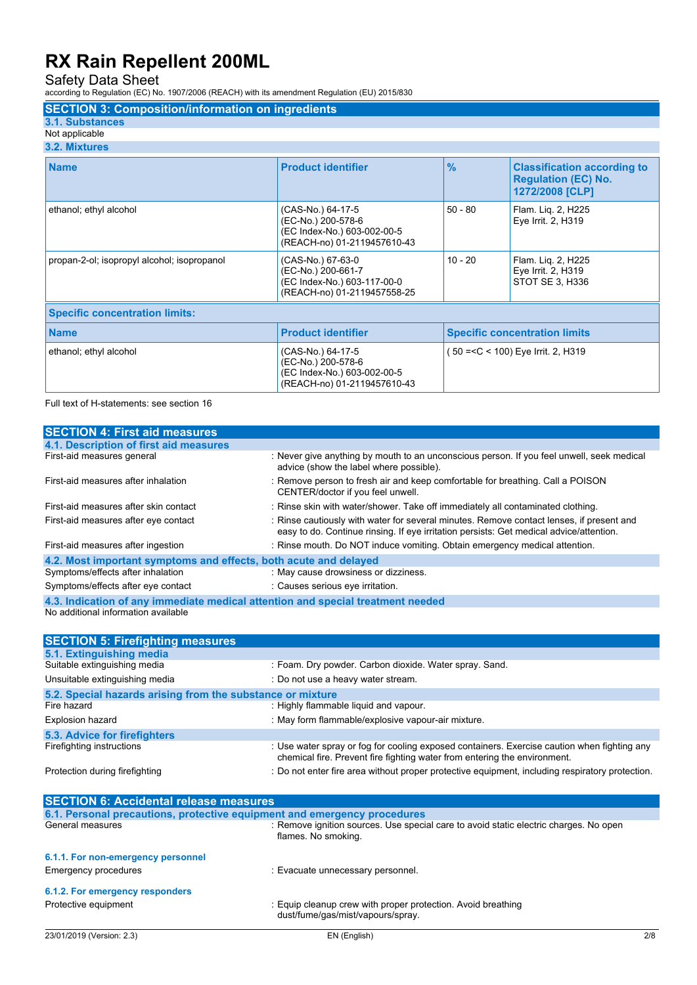Safety Data Sheet according to Regulation (EC) No. 1907/2006 (REACH) with its amendment Regulation (EU) 2015/830

### **SECTION 3: Composition/information on ingredients**

- **3.1. Substances**
- Not applicable

| 3.2. Mixtures                               |                                                                                                       |                                      |                                                                                     |
|---------------------------------------------|-------------------------------------------------------------------------------------------------------|--------------------------------------|-------------------------------------------------------------------------------------|
| <b>Name</b>                                 | <b>Product identifier</b>                                                                             | $\frac{0}{0}$                        | <b>Classification according to</b><br><b>Regulation (EC) No.</b><br>1272/2008 [CLP] |
| ethanol; ethyl alcohol                      | (CAS-No.) 64-17-5<br>(EC-No.) 200-578-6<br>(EC Index-No.) 603-002-00-5<br>(REACH-no) 01-2119457610-43 | $50 - 80$                            | Flam. Lig. 2, H225<br>Eye Irrit. 2, H319                                            |
| propan-2-ol; isopropyl alcohol; isopropanol | (CAS-No.) 67-63-0<br>(EC-No.) 200-661-7<br>(EC Index-No.) 603-117-00-0<br>(REACH-no) 01-2119457558-25 | $10 - 20$                            | Flam. Liq. 2, H225<br>Eye Irrit. 2, H319<br>STOT SE 3, H336                         |
| <b>Specific concentration limits:</b>       |                                                                                                       |                                      |                                                                                     |
| <b>Name</b>                                 | <b>Product identifier</b>                                                                             | <b>Specific concentration limits</b> |                                                                                     |
| ethanol; ethyl alcohol                      | (CAS-No.) 64-17-5<br>(EC-No.) 200-578-6<br>(EC Index-No.) 603-002-00-5<br>(REACH-no) 01-2119457610-43 |                                      | 50 =< C < 100) Eye Irrit. 2, H319                                                   |

Full text of H-statements: see section 16

| <b>SECTION 4: First aid measures</b>                                            |                                                                                                                                                                                     |  |
|---------------------------------------------------------------------------------|-------------------------------------------------------------------------------------------------------------------------------------------------------------------------------------|--|
| 4.1. Description of first aid measures                                          |                                                                                                                                                                                     |  |
| First-aid measures general                                                      | : Never give anything by mouth to an unconscious person. If you feel unwell, seek medical<br>advice (show the label where possible).                                                |  |
| First-aid measures after inhalation                                             | : Remove person to fresh air and keep comfortable for breathing. Call a POISON<br>CENTER/doctor if you feel unwell.                                                                 |  |
| First-aid measures after skin contact                                           | : Rinse skin with water/shower. Take off immediately all contaminated clothing.                                                                                                     |  |
| First-aid measures after eye contact                                            | : Rinse cautiously with water for several minutes. Remove contact lenses, if present and<br>easy to do. Continue rinsing. If eye irritation persists: Get medical advice/attention. |  |
| First-aid measures after ingestion                                              | : Rinse mouth. Do NOT induce vomiting. Obtain emergency medical attention.                                                                                                          |  |
| 4.2. Most important symptoms and effects, both acute and delayed                |                                                                                                                                                                                     |  |
| Symptoms/effects after inhalation                                               | : May cause drowsiness or dizziness.                                                                                                                                                |  |
| Symptoms/effects after eye contact                                              | : Causes serious eye irritation.                                                                                                                                                    |  |
| 4.3. Indication of any immediate medical attention and special treatment needed |                                                                                                                                                                                     |  |
| No additional information available                                             |                                                                                                                                                                                     |  |

| <b>SECTION 5: Firefighting measures</b>                    |                                                                                                                                                                          |  |
|------------------------------------------------------------|--------------------------------------------------------------------------------------------------------------------------------------------------------------------------|--|
| 5.1. Extinguishing media                                   |                                                                                                                                                                          |  |
| Suitable extinguishing media                               | : Foam. Dry powder. Carbon dioxide. Water spray. Sand.                                                                                                                   |  |
| Unsuitable extinguishing media                             | : Do not use a heavy water stream.                                                                                                                                       |  |
| 5.2. Special hazards arising from the substance or mixture |                                                                                                                                                                          |  |
| Fire hazard                                                | : Highly flammable liquid and vapour.                                                                                                                                    |  |
| <b>Explosion hazard</b>                                    | : May form flammable/explosive vapour-air mixture.                                                                                                                       |  |
| 5.3. Advice for firefighters                               |                                                                                                                                                                          |  |
| Firefighting instructions                                  | : Use water spray or fog for cooling exposed containers. Exercise caution when fighting any<br>chemical fire. Prevent fire fighting water from entering the environment. |  |
| Protection during firefighting                             | : Do not enter fire area without proper protective equipment, including respiratory protection.                                                                          |  |

| <b>SECTION 6: Accidental release measures</b>                            |                                                                                                              |     |
|--------------------------------------------------------------------------|--------------------------------------------------------------------------------------------------------------|-----|
| 6.1. Personal precautions, protective equipment and emergency procedures |                                                                                                              |     |
| General measures                                                         | : Remove ignition sources. Use special care to avoid static electric charges. No open<br>flames. No smoking. |     |
| 6.1.1. For non-emergency personnel                                       |                                                                                                              |     |
| Emergency procedures                                                     | : Evacuate unnecessary personnel.                                                                            |     |
| 6.1.2. For emergency responders                                          |                                                                                                              |     |
| Protective equipment                                                     | : Equip cleanup crew with proper protection. Avoid breathing<br>dust/fume/gas/mist/vapours/spray.            |     |
| 23/01/2019 (Version: 2.3)                                                | EN (English)                                                                                                 | 2/8 |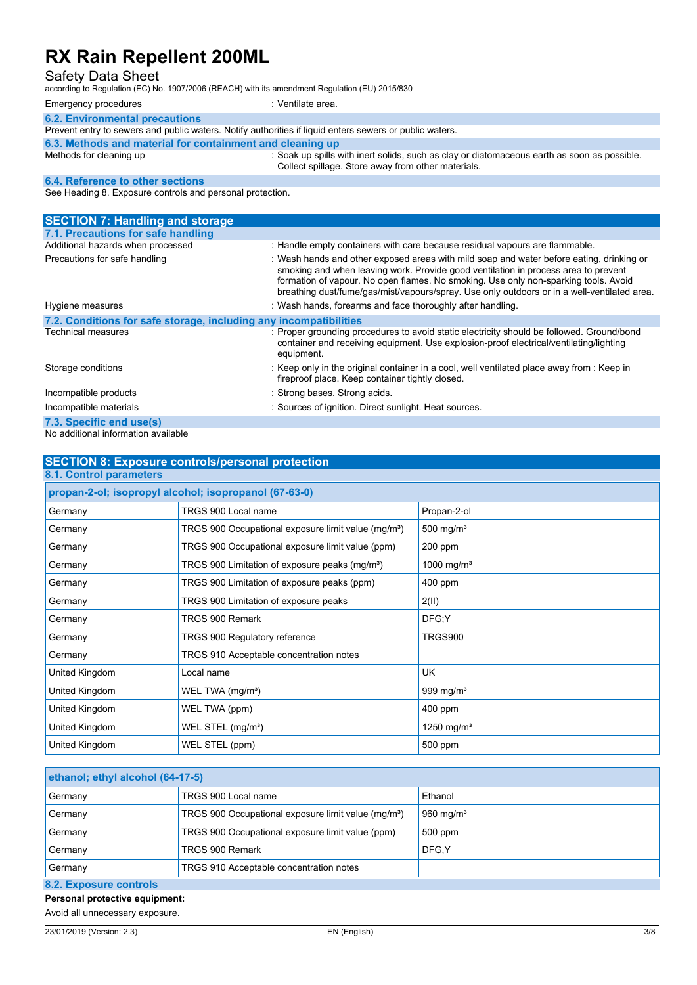Safety Data Sheet

according to Regulation (EC) No. 1907/2006 (REACH) with its amendment Regulation (EU) 2015/830

| Emergency procedures                                                                                    | ::Ventilate area. |  |
|---------------------------------------------------------------------------------------------------------|-------------------|--|
| <b>6.2. Environmental precautions</b>                                                                   |                   |  |
| Prevent entry to sewers and public waters. Notify authorities if liquid enters sewers or public waters. |                   |  |
| 6.3. Methods and material for containment and cleaning up                                               |                   |  |

Methods for cleaning up : Soak up spills with inert solids, such as clay or diatomaceous earth as soon as possible. Collect spillage. Store away from other materials.

### **6.4. Reference to other sections**

See Heading 8. Exposure controls and personal protection.

| <b>SECTION 7: Handling and storage</b>                            |                                                                                                                                                                                                                                                                                                                                                                      |
|-------------------------------------------------------------------|----------------------------------------------------------------------------------------------------------------------------------------------------------------------------------------------------------------------------------------------------------------------------------------------------------------------------------------------------------------------|
| 7.1. Precautions for safe handling                                |                                                                                                                                                                                                                                                                                                                                                                      |
| Additional hazards when processed                                 | : Handle empty containers with care because residual vapours are flammable.                                                                                                                                                                                                                                                                                          |
| Precautions for safe handling                                     | : Wash hands and other exposed areas with mild soap and water before eating, drinking or<br>smoking and when leaving work. Provide good ventilation in process area to prevent<br>formation of vapour. No open flames. No smoking. Use only non-sparking tools. Avoid<br>breathing dust/fume/gas/mist/vapours/spray. Use only outdoors or in a well-ventilated area. |
| Hygiene measures                                                  | : Wash hands, forearms and face thoroughly after handling.                                                                                                                                                                                                                                                                                                           |
| 7.2. Conditions for safe storage, including any incompatibilities |                                                                                                                                                                                                                                                                                                                                                                      |
| <b>Technical measures</b>                                         | : Proper grounding procedures to avoid static electricity should be followed. Ground/bond<br>container and receiving equipment. Use explosion-proof electrical/ventilating/lighting<br>equipment.                                                                                                                                                                    |
| Storage conditions                                                | : Keep only in the original container in a cool, well ventilated place away from : Keep in<br>fireproof place. Keep container tightly closed.                                                                                                                                                                                                                        |
| Incompatible products                                             | : Strong bases. Strong acids.                                                                                                                                                                                                                                                                                                                                        |
| Incompatible materials                                            | : Sources of ignition. Direct sunlight. Heat sources.                                                                                                                                                                                                                                                                                                                |
| 7.3. Specific end use(s)                                          |                                                                                                                                                                                                                                                                                                                                                                      |
| No additional information available                               |                                                                                                                                                                                                                                                                                                                                                                      |

| <b>SECTION 8: Exposure controls/personal protection</b>         |                        |  |
|-----------------------------------------------------------------|------------------------|--|
| 8.1. Control parameters                                         |                        |  |
| propan-2-ol; isopropyl alcohol; isopropanol (67-63-0)           |                        |  |
| TRGS 900 Local name                                             | Propan-2-ol            |  |
| TRGS 900 Occupational exposure limit value (mg/m <sup>3</sup> ) | 500 mg/ $m3$           |  |
| TRGS 900 Occupational exposure limit value (ppm)                | 200 ppm                |  |
| TRGS 900 Limitation of exposure peaks (mg/m <sup>3</sup> )      | 1000 mg/m <sup>3</sup> |  |
| TRGS 900 Limitation of exposure peaks (ppm)                     | 400 ppm                |  |
| TRGS 900 Limitation of exposure peaks                           | 2(II)                  |  |
| TRGS 900 Remark                                                 | DFG:Y                  |  |
| <b>TRGS 900 Regulatory reference</b>                            | <b>TRGS900</b>         |  |
| TRGS 910 Acceptable concentration notes                         |                        |  |
| Local name                                                      | <b>UK</b>              |  |
| WEL TWA $(mg/m3)$                                               | 999 mg/m <sup>3</sup>  |  |
| WEL TWA (ppm)                                                   | 400 ppm                |  |
| WEL STEL (mg/m <sup>3</sup> )                                   | 1250 mg/m $3$          |  |
| WEL STEL (ppm)                                                  | 500 ppm                |  |
|                                                                 |                        |  |

| ethanol; ethyl alcohol (64-17-5)                   |                                                                 |                       |
|----------------------------------------------------|-----------------------------------------------------------------|-----------------------|
| Germany                                            | TRGS 900 Local name                                             | Ethanol               |
| Germany                                            | TRGS 900 Occupational exposure limit value (mg/m <sup>3</sup> ) | 960 mg/m <sup>3</sup> |
| Germany                                            | TRGS 900 Occupational exposure limit value (ppm)                | 500 ppm               |
| DFG.Y<br>TRGS 900 Remark<br>Germany                |                                                                 |                       |
| TRGS 910 Acceptable concentration notes<br>Germany |                                                                 |                       |
| 00 Evnonum controlo                                |                                                                 |                       |

**8.2. Exposure controls**

**Personal protective equipment:**

Avoid all unnecessary exposure.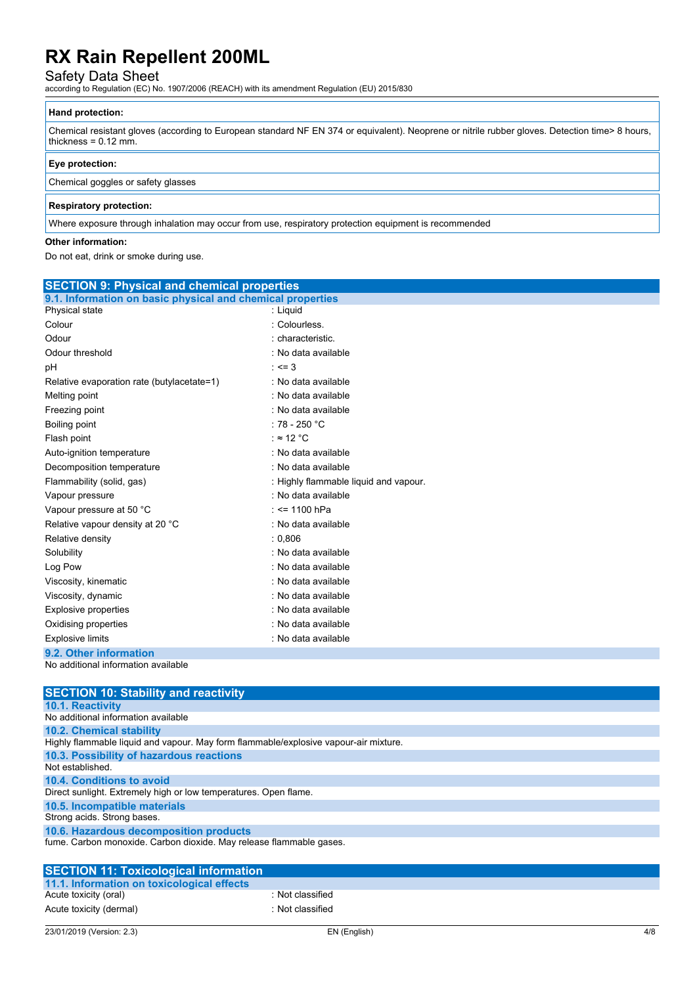Safety Data Sheet according to Regulation (EC) No. 1907/2006 (REACH) with its amendment Regulation (EU) 2015/830

### **Hand protection:**

Chemical resistant gloves (according to European standard NF EN 374 or equivalent). Neoprene or nitrile rubber gloves. Detection time> 8 hours, thickness =  $0.12$  mm.

### **Eye protection:**

#### Chemical goggles or safety glasses

#### **Respiratory protection:**

Where exposure through inhalation may occur from use, respiratory protection equipment is recommended

#### **Other information:**

Do not eat, drink or smoke during use.

| <b>SECTION 9: Physical and chemical properties</b>         |                                       |  |
|------------------------------------------------------------|---------------------------------------|--|
| 9.1. Information on basic physical and chemical properties |                                       |  |
| Physical state                                             | : Liquid                              |  |
| Colour                                                     | : Colourless.                         |  |
| Odour                                                      | : characteristic.                     |  |
| Odour threshold                                            | : No data available                   |  |
| рH                                                         | $: < = 3$                             |  |
| Relative evaporation rate (butylacetate=1)                 | : No data available                   |  |
| Melting point                                              | : No data available                   |  |
| Freezing point                                             | : No data available                   |  |
| Boiling point                                              | : 78 - 250 $^{\circ}$ C               |  |
| Flash point                                                | : $\approx$ 12 °C                     |  |
| Auto-ignition temperature                                  | : No data available                   |  |
| Decomposition temperature                                  | : No data available                   |  |
| Flammability (solid, gas)                                  | : Highly flammable liquid and vapour. |  |
| Vapour pressure                                            | : No data available                   |  |
| Vapour pressure at 50 °C                                   | $:$ <= 1100 hPa                       |  |
| Relative vapour density at 20 °C                           | : No data available                   |  |
| Relative density                                           | : 0.806                               |  |
| Solubility                                                 | : No data available                   |  |
| Log Pow                                                    | : No data available                   |  |
| Viscosity, kinematic                                       | : No data available                   |  |
| Viscosity, dynamic                                         | : No data available                   |  |
| Explosive properties                                       | : No data available                   |  |
| Oxidising properties                                       | : No data available                   |  |
| <b>Explosive limits</b>                                    | : No data available                   |  |
| 9.2. Other information<br>.                                |                                       |  |

No additional information available

| <b>SECTION 10: Stability and reactivity</b>                                                                     |
|-----------------------------------------------------------------------------------------------------------------|
| <b>10.1. Reactivity</b>                                                                                         |
| No additional information available                                                                             |
| <b>10.2. Chemical stability</b>                                                                                 |
| Highly flammable liquid and vapour. May form flammable/explosive vapour-air mixture.                            |
| 10.3. Possibility of hazardous reactions                                                                        |
| Not established.                                                                                                |
| 10.4. Conditions to avoid                                                                                       |
| Direct sunlight. Extremely high or low temperatures. Open flame.                                                |
| 10.5. Incompatible materials                                                                                    |
| Strong acids. Strong bases.                                                                                     |
| 10.6. Hazardous decomposition products                                                                          |
| fume. Carbon monoxide. Carbon dioxide. May release flammable gases.                                             |
|                                                                                                                 |
| <b>SECTION 11: Toxicological information</b>                                                                    |
| did identification and a construction of the control of the state of the state of the state of the state of the |

| SECTION 11: Toxicological information      |                  |
|--------------------------------------------|------------------|
| 11.1. Information on toxicological effects |                  |
| Acute toxicity (oral)                      | : Not classified |
| Acute toxicity (dermal)                    | : Not classified |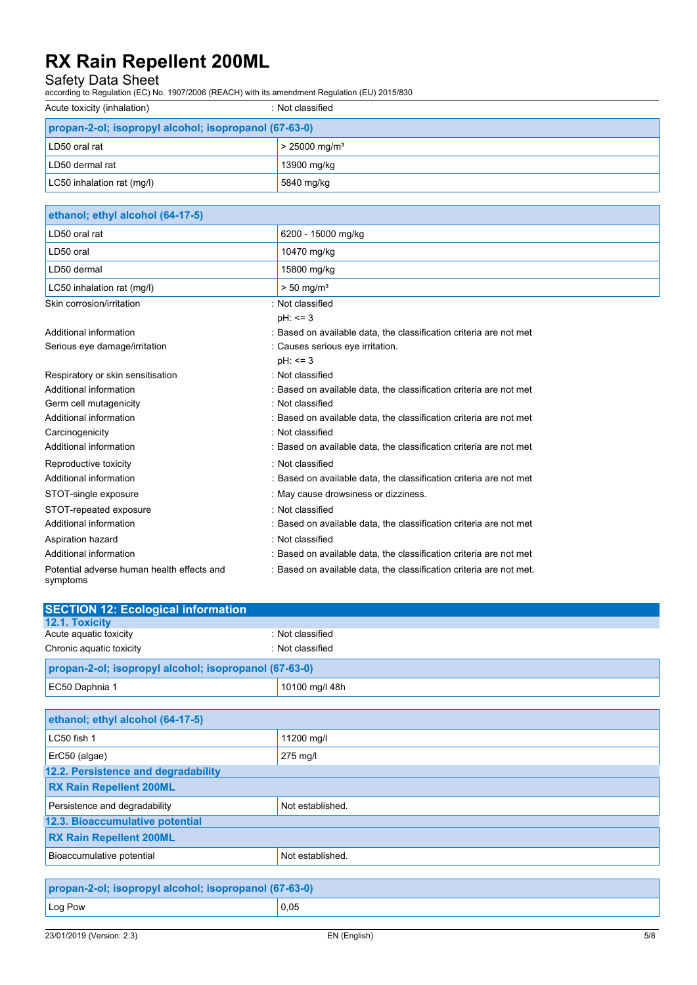Safety Data Sheet according to Regulation (EC) No. 1907/2006 (REACH) with its amendment Regulation (EU) 2015/830

| Acute toxicity (inhalation)                           | : Not classified            |  |
|-------------------------------------------------------|-----------------------------|--|
| propan-2-ol; isopropyl alcohol; isopropanol (67-63-0) |                             |  |
| LD50 oral rat                                         | $> 25000$ mg/m <sup>3</sup> |  |
| LD50 dermal rat                                       | 13900 mg/kg                 |  |
| LC50 inhalation rat (mq/l)                            | 5840 mg/kg                  |  |

| ethanol; ethyl alcohol (64-17-5)                       |                                                                     |
|--------------------------------------------------------|---------------------------------------------------------------------|
| LD50 oral rat                                          | 6200 - 15000 mg/kg                                                  |
| LD50 oral                                              | 10470 mg/kg                                                         |
| LD50 dermal                                            | 15800 mg/kg                                                         |
| LC50 inhalation rat (mg/l)                             | $> 50$ mg/m <sup>3</sup>                                            |
| Skin corrosion/irritation                              | : Not classified                                                    |
|                                                        | $pH: \leq 3$                                                        |
| Additional information                                 | : Based on available data, the classification criteria are not met  |
| Serious eye damage/irritation                          | : Causes serious eye irritation.                                    |
|                                                        | $pH: \le 3$                                                         |
| Respiratory or skin sensitisation                      | : Not classified                                                    |
| Additional information                                 | : Based on available data, the classification criteria are not met  |
| Germ cell mutagenicity                                 | : Not classified                                                    |
| Additional information                                 | : Based on available data, the classification criteria are not met  |
| Carcinogenicity                                        | : Not classified                                                    |
| Additional information                                 | : Based on available data, the classification criteria are not met  |
| Reproductive toxicity                                  | : Not classified                                                    |
| Additional information                                 | : Based on available data, the classification criteria are not met  |
| STOT-single exposure                                   | : May cause drowsiness or dizziness.                                |
| STOT-repeated exposure                                 | Not classified                                                      |
| Additional information                                 | : Based on available data, the classification criteria are not met  |
| Aspiration hazard                                      | : Not classified                                                    |
| Additional information                                 | : Based on available data, the classification criteria are not met  |
| Potential adverse human health effects and<br>symptoms | : Based on available data, the classification criteria are not met. |

| <b>SECTION 12: Ecological information</b>             |                  |  |
|-------------------------------------------------------|------------------|--|
| <b>12.1. Toxicity</b>                                 |                  |  |
| Acute aguatic toxicity                                | : Not classified |  |
| Chronic aquatic toxicity                              | : Not classified |  |
| propan-2-ol; isopropyl alcohol; isopropanol (67-63-0) |                  |  |
| EC50 Daphnia 1                                        | 10100 mg/l 48h   |  |

| ethanol; ethyl alcohol (64-17-5)                      |                  |  |
|-------------------------------------------------------|------------------|--|
| LC50 fish 1                                           | 11200 mg/l       |  |
| ErC50 (algae)                                         | 275 mg/l         |  |
| 12.2. Persistence and degradability                   |                  |  |
| <b>RX Rain Repellent 200ML</b>                        |                  |  |
| Persistence and degradability                         | Not established. |  |
| 12.3. Bioaccumulative potential                       |                  |  |
| <b>RX Rain Repellent 200ML</b>                        |                  |  |
| Bioaccumulative potential                             | Not established. |  |
|                                                       |                  |  |
| propan-2-ol: jeonropyl alcohol: jeonropanol (67-63-0) |                  |  |

| propan-2-ol; isopropyl alcohol; isopropanol (67-63-0) |      |
|-------------------------------------------------------|------|
| $ $ Log Pow                                           | 0,05 |
|                                                       |      |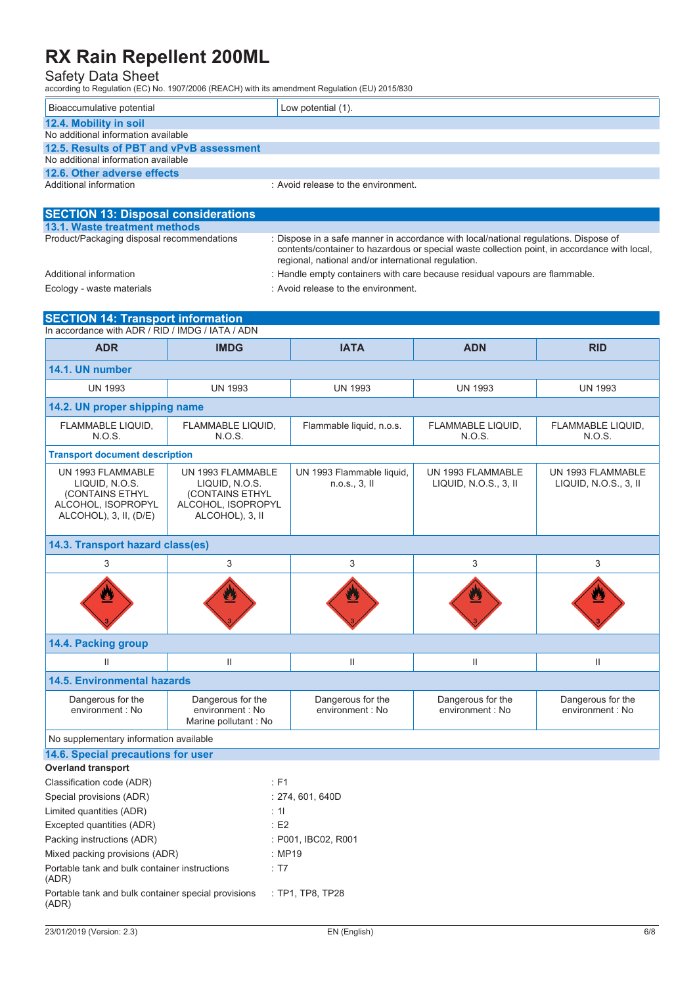Safety Data Sheet according to Regulation (EC) No. 1907/2006 (REACH) with its amendment Regulation (EU) 2015/830

| Bioaccumulative potential                | Low potential (1).                  |  |
|------------------------------------------|-------------------------------------|--|
| 12.4. Mobility in soil                   |                                     |  |
| No additional information available      |                                     |  |
| 12.5. Results of PBT and vPvB assessment |                                     |  |
| No additional information available      |                                     |  |
| 12.6. Other adverse effects              |                                     |  |
| Additional information                   | : Avoid release to the environment. |  |

| <b>SECTION 13: Disposal considerations</b> |                                                                                                                                                                                                                                             |
|--------------------------------------------|---------------------------------------------------------------------------------------------------------------------------------------------------------------------------------------------------------------------------------------------|
| 13.1. Waste treatment methods              |                                                                                                                                                                                                                                             |
| Product/Packaging disposal recommendations | : Dispose in a safe manner in accordance with local/national regulations. Dispose of<br>contents/container to hazardous or special waste collection point, in accordance with local,<br>regional, national and/or international regulation. |
| Additional information                     | : Handle empty containers with care because residual vapours are flammable.                                                                                                                                                                 |
| Ecology - waste materials                  | : Avoid release to the environment.                                                                                                                                                                                                         |

**SECTION 14: Transport information** In accordance with ADR / RID / IMDG / IATA / ADN **ADR IMDG IATA ADN RID**

| 14.1. UN number                                                                                        |                                                                                                 |                                            |                                            |                                            |
|--------------------------------------------------------------------------------------------------------|-------------------------------------------------------------------------------------------------|--------------------------------------------|--------------------------------------------|--------------------------------------------|
| <b>UN 1993</b>                                                                                         | <b>UN 1993</b>                                                                                  | <b>UN 1993</b>                             | <b>UN 1993</b>                             | <b>UN 1993</b>                             |
| 14.2. UN proper shipping name                                                                          |                                                                                                 |                                            |                                            |                                            |
| FLAMMABLE LIQUID.<br><b>N.O.S.</b>                                                                     | FLAMMABLE LIQUID,<br>N.O.S.                                                                     | Flammable liquid, n.o.s.                   | FLAMMABLE LIQUID.<br><b>N.O.S.</b>         | FLAMMABLE LIQUID,<br>N.O.S.                |
| <b>Transport document description</b>                                                                  |                                                                                                 |                                            |                                            |                                            |
| UN 1993 FLAMMABLE<br>LIQUID, N.O.S.<br>(CONTAINS ETHYL<br>ALCOHOL, ISOPROPYL<br>ALCOHOL), 3, II, (D/E) | UN 1993 FLAMMABLE<br>LIQUID, N.O.S.<br>(CONTAINS ETHYL<br>ALCOHOL, ISOPROPYL<br>ALCOHOL), 3, II | UN 1993 Flammable liquid,<br>n.o.s., 3, II | UN 1993 FLAMMABLE<br>LIQUID, N.O.S., 3, II | UN 1993 FLAMMABLE<br>LIQUID, N.O.S., 3, II |
| 14.3. Transport hazard class(es)                                                                       |                                                                                                 |                                            |                                            |                                            |
| 3                                                                                                      | 3                                                                                               | 3                                          | 3                                          | 3                                          |
|                                                                                                        |                                                                                                 |                                            | <u>V</u>                                   |                                            |
| 14.4. Packing group                                                                                    |                                                                                                 |                                            |                                            |                                            |
| Ш                                                                                                      | $\mathsf{II}$                                                                                   | $\mathbf{II}$                              | $\mathbf{II}$                              | $\ensuremath{\mathsf{II}}$                 |
| <b>14.5. Environmental hazards</b>                                                                     |                                                                                                 |                                            |                                            |                                            |
| Dangerous for the<br>environment : No                                                                  | Dangerous for the<br>environment : No<br>Marine pollutant : No                                  | Dangerous for the<br>environment : No      | Dangerous for the<br>environment : No      | Dangerous for the<br>environment : No      |
| No supplementary information available                                                                 |                                                                                                 |                                            |                                            |                                            |
| 14.6. Special precautions for user                                                                     |                                                                                                 |                                            |                                            |                                            |
| <b>Overland transport</b>                                                                              |                                                                                                 |                                            |                                            |                                            |
| Classification code (ADR)                                                                              | $E$ F1                                                                                          |                                            |                                            |                                            |
| Special provisions (ADR)                                                                               |                                                                                                 | : 274, 601, 640D                           |                                            |                                            |
| Limited quantities (ADR)                                                                               | : 11                                                                                            |                                            |                                            |                                            |
| Excepted quantities (ADR)                                                                              | E2                                                                                              |                                            |                                            |                                            |
| Packing instructions (ADR)                                                                             |                                                                                                 | : P001, IBC02, R001                        |                                            |                                            |
| Mixed packing provisions (ADR)                                                                         | : MP19                                                                                          |                                            |                                            |                                            |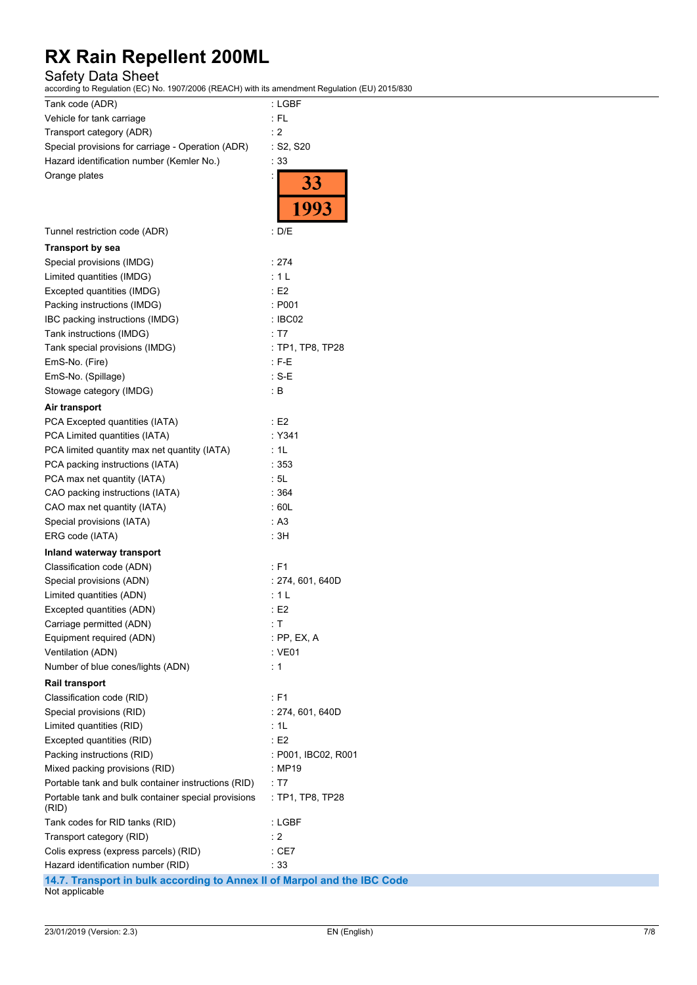Safety Data Sheet

1907/2006 (REACH) with its amendment Regulation (EU) 2015/830

| $according$ to Regulation (EC) No. 1907/2006 (REACH) with its amendment Regulation (EU) 2015/830 |                     |
|--------------------------------------------------------------------------------------------------|---------------------|
| Tank code (ADR)                                                                                  | : LGBF              |
| Vehicle for tank carriage                                                                        | : FL                |
| Transport category (ADR)                                                                         | : 2                 |
| Special provisions for carriage - Operation (ADR)                                                | : S2, S20           |
| Hazard identification number (Kemler No.)                                                        | : 33                |
| Orange plates                                                                                    | $\frac{33}{1993}$   |
| Tunnel restriction code (ADR)                                                                    | : D/E               |
| <b>Transport by sea</b>                                                                          |                     |
| Special provisions (IMDG)                                                                        | : 274               |
| Limited quantities (IMDG)                                                                        | :1L                 |
| Excepted quantities (IMDG)                                                                       | : E2                |
| Packing instructions (IMDG)                                                                      | : P001              |
| IBC packing instructions (IMDG)                                                                  | : IBCO2             |
| Tank instructions (IMDG)                                                                         | : T7                |
| Tank special provisions (IMDG)                                                                   | : TP1, TP8, TP28    |
| EmS-No. (Fire)                                                                                   | $:$ F-E             |
| EmS-No. (Spillage)                                                                               | : S-E               |
| Stowage category (IMDG)                                                                          | : В                 |
| Air transport                                                                                    |                     |
| PCA Excepted quantities (IATA)                                                                   | E2                  |
| PCA Limited quantities (IATA)                                                                    | $:$ Y341            |
| PCA limited quantity max net quantity (IATA)                                                     | : 1L                |
| PCA packing instructions (IATA)                                                                  | :353                |
| PCA max net quantity (IATA)                                                                      | : 5L                |
| CAO packing instructions (IATA)                                                                  | :364                |
| CAO max net quantity (IATA)                                                                      | : 60L               |
| Special provisions (IATA)                                                                        | : A3                |
| ERG code (IATA)                                                                                  | : 3H                |
| Inland waterway transport                                                                        |                     |
| Classification code (ADN)                                                                        | : F1                |
| Special provisions (ADN)                                                                         | : 274, 601, 640D    |
| Limited quantities (ADN)                                                                         | : 1 L               |
| Excepted quantities (ADN)                                                                        | : E2                |
| Carriage permitted (ADN)                                                                         | : T                 |
| Equipment required (ADN)                                                                         | $:$ PP, EX, A       |
| Ventilation (ADN)                                                                                | : VE01              |
| Number of blue cones/lights (ADN)                                                                | : 1                 |
| <b>Rail transport</b>                                                                            |                     |
| Classification code (RID)                                                                        | : F1                |
| Special provisions (RID)                                                                         | :274, 601, 640D     |
| Limited quantities (RID)                                                                         | : 1L                |
| Excepted quantities (RID)                                                                        | E2                  |
| Packing instructions (RID)                                                                       | : P001, IBC02, R001 |
| Mixed packing provisions (RID)                                                                   | : MP19              |
| Portable tank and bulk container instructions (RID)                                              | : T7                |
| Portable tank and bulk container special provisions<br>(RID)                                     | : TP1, TP8, TP28    |
| Tank codes for RID tanks (RID)                                                                   | : LGBF              |
| Transport category (RID)                                                                         | : 2                 |
| Colis express (express parcels) (RID)                                                            | $:$ CE7             |
| Hazard identification number (RID)                                                               | :33                 |
| 14.7. Transport in bulk according to Annex II of Marpol and the IBC Code                         |                     |
| Not applicable                                                                                   |                     |